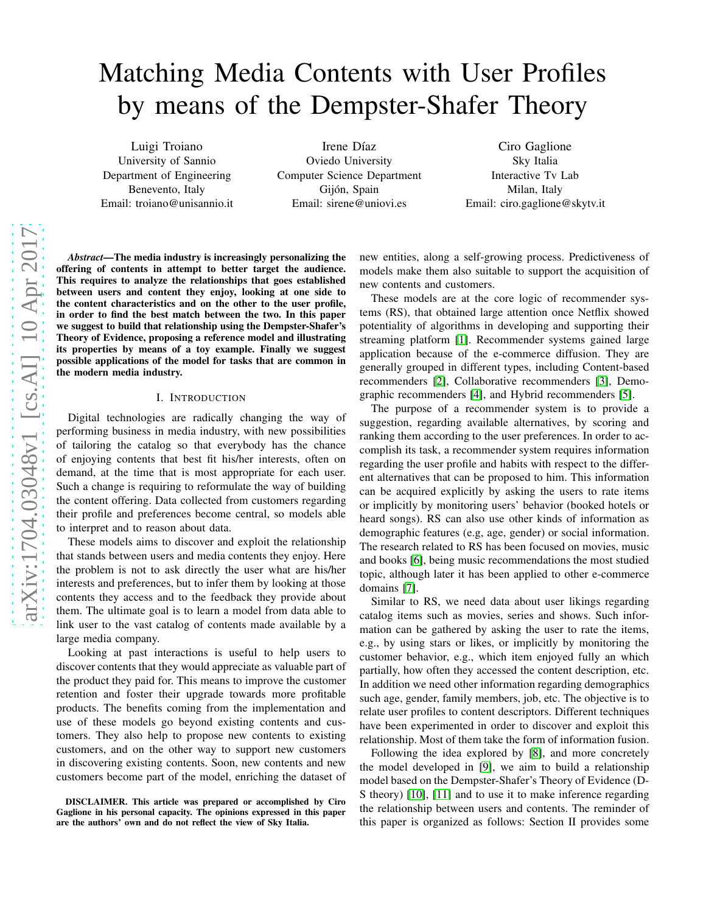# Matching Media Contents with User Profiles by means of the Dempster-Shafer Theory

Luigi Troiano University of Sannio Department of Engineering Benevento, Italy Email: troiano@unisannio.it

Irene Díaz Oviedo University Computer Science Department Gijón, Spain Email: sirene@uniovi.es

Ciro Gaglione Sky Italia Interactive Tv Lab Milan, Italy Email: ciro.gaglione@skytv.it

*Abstract*—The media industry is increasingly personalizing the offering of contents in attempt to better target the audience. This requires to analyze the relationships that goes established between users and content they enjoy, looking at one side to the content characteristics and on the other to the user profile, in order to find the best match between the two. In this paper we suggest to build that relationship using the Dempster-Shafer's Theory of Evidence, proposing a reference model and illustrating its properties by means of a toy example. Finally we suggest possible applications of the model for tasks that are common in the modern media industry.

## I. INTRODUCTION

Digital technologies are radically changing the way of performing business in media industry, with new possibilities of tailoring the catalog so that everybody has the chance of enjoying contents that best fit his/her interests, often on demand, at the time that is most appropriate for each user. Such a change is requiring to reformulate the way of building the content offering. Data collected from customers regarding their profile and preferences become central, so models able to interpret and to reason about data.

These models aims to discover and exploit the relationship that stands between users and media contents they enjoy. Here the problem is not to ask directly the user what are his/her interests and preferences, but to infer them by looking at those contents they access and to the feedback they provide about them. The ultimate goal is to learn a model from data able to link user to the vast catalog of contents made available by a large media company.

Looking at past interactions is useful to help users to discover contents that they would appreciate as valuable part of the product they paid for. This means to improve the customer retention and foster their upgrade towards more profitable products. The benefits coming from the implementation and use of these models go beyond existing contents and customers. They also help to propose new contents to existing customers, and on the other way to support new customers in discovering existing contents. Soon, new contents and new customers become part of the model, enriching the dataset of

new entities, along a self-growing process. Predictiveness of models make them also suitable to support the acquisition of new contents and customers.

These models are at the core logic of recommender systems (RS), that obtained large attention once Netflix showed potentiality of algorithms in developing and supporting their streaming platform [\[1\]](#page-5-0). Recommender systems gained large application because of the e-commerce diffusion. They are generally grouped in different types, including Content-based recommenders [\[2\]](#page-5-1), Collaborative recommenders [\[3\]](#page-5-2), Demographic recommenders [\[4\]](#page-5-3), and Hybrid recommenders [\[5\]](#page-5-4).

The purpose of a recommender system is to provide a suggestion, regarding available alternatives, by scoring and ranking them according to the user preferences. In order to accomplish its task, a recommender system requires information regarding the user profile and habits with respect to the different alternatives that can be proposed to him. This information can be acquired explicitly by asking the users to rate items or implicitly by monitoring users' behavior (booked hotels or heard songs). RS can also use other kinds of information as demographic features (e.g, age, gender) or social information. The research related to RS has been focused on movies, music and books [\[6\]](#page-5-5), being music recommendations the most studied topic, although later it has been applied to other e-commerce domains [\[7\]](#page-5-6).

Similar to RS, we need data about user likings regarding catalog items such as movies, series and shows. Such information can be gathered by asking the user to rate the items, e.g., by using stars or likes, or implicitly by monitoring the customer behavior, e.g., which item enjoyed fully an which partially, how often they accessed the content description, etc. In addition we need other information regarding demographics such age, gender, family members, job, etc. The objective is to relate user profiles to content descriptors. Different techniques have been experimented in order to discover and exploit this relationship. Most of them take the form of information fusion.

Following the idea explored by [\[8\]](#page-5-7), and more concretely the model developed in [\[9\]](#page-5-8), we aim to build a relationship model based on the Dempster-Shafer's Theory of Evidence (D-S theory) [\[10\]](#page-5-9), [\[11\]](#page-5-10) and to use it to make inference regarding the relationship between users and contents. The reminder of this paper is organized as follows: Section II provides some

DISCLAIMER. This article was prepared or accomplished by Ciro Gaglione in his personal capacity. The opinions expressed in this paper are the authors' own and do not reflect the view of Sky Italia.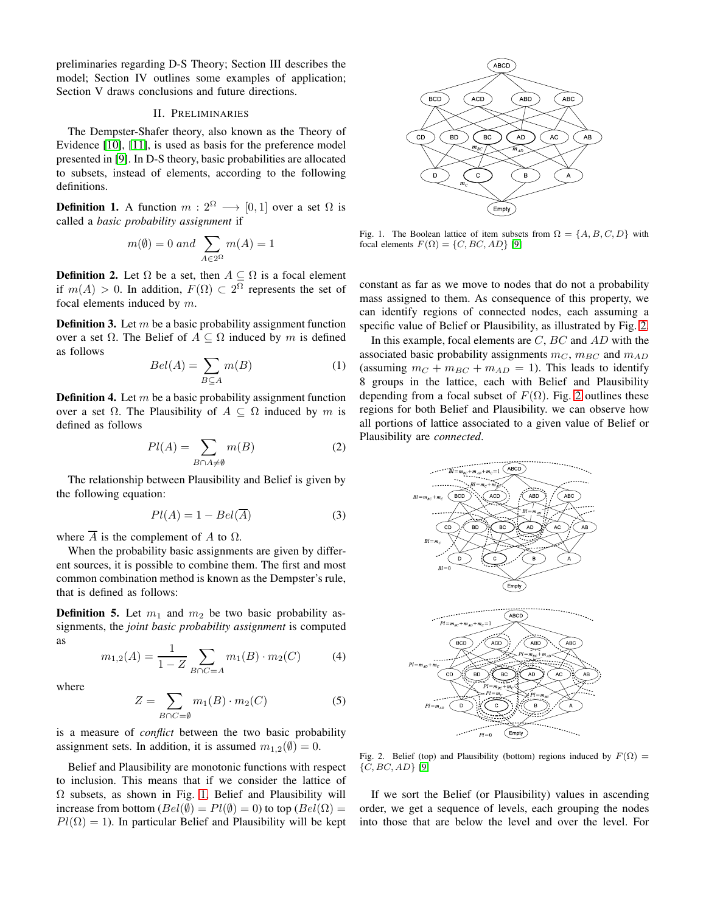preliminaries regarding D-S Theory; Section III describes the model; Section IV outlines some examples of application; Section V draws conclusions and future directions.

# II. PRELIMINARIES

The Dempster-Shafer theory, also known as the Theory of Evidence [\[10\]](#page-5-9), [\[11\]](#page-5-10), is used as basis for the preference model presented in [\[9\]](#page-5-8). In D-S theory, basic probabilities are allocated to subsets, instead of elements, according to the following definitions.

**Definition 1.** A function  $m: 2^{\Omega} \longrightarrow [0, 1]$  over a set  $\Omega$  is called a *basic probability assignment* if

$$
m(\emptyset) = 0 \text{ and } \sum_{A \in 2^{\Omega}} m(A) = 1
$$

**Definition 2.** Let  $\Omega$  be a set, then  $A \subseteq \Omega$  is a focal element if  $m(A) > 0$ . In addition,  $F(\Omega) \subset 2^{\Omega}$  represents the set of focal elements induced by m.

**Definition 3.** Let  $m$  be a basic probability assignment function over a set  $\Omega$ . The Belief of  $A \subseteq \Omega$  induced by m is defined as follows

$$
Bel(A) = \sum_{B \subseteq A} m(B) \tag{1}
$$

**Definition 4.** Let  $m$  be a basic probability assignment function over a set  $\Omega$ . The Plausibility of  $A \subseteq \Omega$  induced by m is defined as follows

$$
Pl(A) = \sum_{B \cap A \neq \emptyset} m(B) \tag{2}
$$

The relationship between Plausibility and Belief is given by the following equation:

$$
Pl(A) = 1 - Bel(\overline{A})
$$
 (3)

where  $\overline{A}$  is the complement of A to  $\Omega$ .

When the probability basic assignments are given by different sources, it is possible to combine them. The first and most common combination method is known as the Dempster's rule, that is defined as follows:

**Definition 5.** Let  $m_1$  and  $m_2$  be two basic probability assignments, the *joint basic probability assignment* is computed as

<span id="page-1-2"></span>
$$
m_{1,2}(A) = \frac{1}{1 - Z} \sum_{B \cap C = A} m_1(B) \cdot m_2(C) \tag{4}
$$

where

$$
Z = \sum_{B \cap C = \emptyset} m_1(B) \cdot m_2(C) \tag{5}
$$

is a measure of *conflict* between the two basic probability assignment sets. In addition, it is assumed  $m_{1,2}(\emptyset) = 0$ .

Belief and Plausibility are monotonic functions with respect to inclusion. This means that if we consider the lattice of  $\Omega$  subsets, as shown in Fig. [1,](#page-1-0) Belief and Plausibility will increase from bottom  $(Bel(\emptyset) = Pl(\emptyset) = 0)$  to top  $(Bel(\Omega) =$  $Pl(\Omega) = 1$ ). In particular Belief and Plausibility will be kept



<span id="page-1-0"></span>Fig. 1. The Boolean lattice of item subsets from  $\Omega = \{A, B, C, D\}$  with focal elements  $F(\Omega) = \{C, BC, AD\}$  [\[9\]](#page-5-8)

constant as far as we move to nodes that do not a probability mass assigned to them. As consequence of this property, we can identify regions of connected nodes, each assuming a specific value of Belief or Plausibility, as illustrated by Fig. [2.](#page-1-1)

In this example, focal elements are  $C$ ,  $BC$  and  $AD$  with the associated basic probability assignments  $m_C$ ,  $m_{BC}$  and  $m_{AD}$ (assuming  $m_C + m_{BC} + m_{AD} = 1$ ). This leads to identify 8 groups in the lattice, each with Belief and Plausibility depending from a focal subset of  $F(\Omega)$ . Fig. [2](#page-1-1) outlines these regions for both Belief and Plausibility. we can observe how all portions of lattice associated to a given value of Belief or Plausibility are *connected*.



<span id="page-1-1"></span>Fig. 2. Belief (top) and Plausibility (bottom) regions induced by  $F(\Omega) =$  $\{C, BC, AD\}$  [\[9\]](#page-5-8)

If we sort the Belief (or Plausibility) values in ascending order, we get a sequence of levels, each grouping the nodes into those that are below the level and over the level. For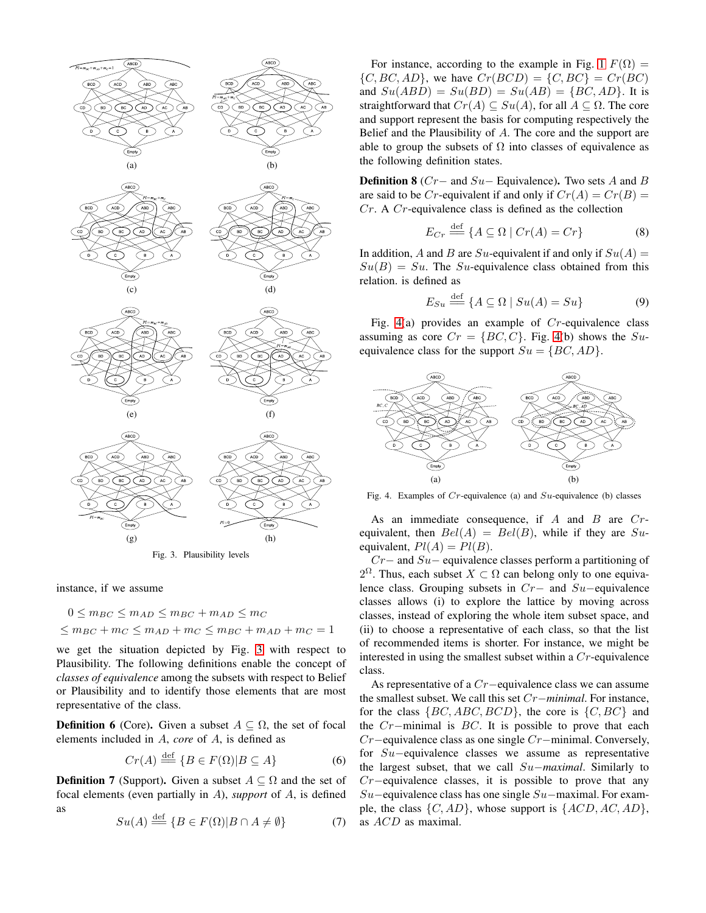

<span id="page-2-0"></span>Fig. 3. Plausibility levels

instance, if we assume

$$
0 \le m_{BC} \le m_{AD} \le m_{BC} + m_{AD} \le m_C
$$
  

$$
\le m_{BC} + m_C \le m_{AD} + m_C \le m_{BC} + m_{AD} + m_C = 1
$$

we get the situation depicted by Fig. [3](#page-2-0) with respect to Plausibility. The following definitions enable the concept of *classes of equivalence* among the subsets with respect to Belief or Plausibility and to identify those elements that are most representative of the class.

**Definition 6** (Core). Given a subset  $A \subseteq \Omega$ , the set of focal elements included in A, *core* of A, is defined as

$$
Cr(A) \stackrel{\text{def}}{=\!\!=} \{B \in F(\Omega) | B \subseteq A\} \tag{6}
$$

**Definition 7** (Support). Given a subset  $A \subseteq \Omega$  and the set of focal elements (even partially in A), *support* of A, is defined as

$$
Su(A) \stackrel{\text{def}}{=\!\!=} \{B \in F(\Omega) | B \cap A \neq \emptyset\} \tag{7}
$$

For instance, according to the example in Fig. [1](#page-1-0)  $F(\Omega) =$  $\{C, BC, AD\}$ , we have  $Cr(BCD) = \{C, BC\} = Cr(BC)$ and  $Su(ABD) = Su(BD) = Su(AB) = \{BC, AD\}$ . It is straightforward that  $Cr(A) \subseteq Su(A)$ , for all  $A \subseteq \Omega$ . The core and support represent the basis for computing respectively the Belief and the Plausibility of A. The core and the support are able to group the subsets of  $\Omega$  into classes of equivalence as the following definition states.

**Definition 8** ( $Cr-$  and  $Su-$  Equivalence). Two sets A and B are said to be Cr-equivalent if and only if  $Cr(A) = Cr(B) =$ Cr. A Cr-equivalence class is defined as the collection

$$
E_{Cr} \stackrel{\text{def}}{=\!\!=} \{ A \subseteq \Omega \mid Cr(A) = Cr \}
$$
 (8)

In addition, A and B are Su-equivalent if and only if  $Su(A) =$  $Su(B) = Su$ . The Su-equivalence class obtained from this relation. is defined as

$$
E_{Su} \stackrel{\text{def}}{=\!\!=} \{ A \subseteq \Omega \mid Su(A) = Su \}
$$
 (9)

Fig.  $4(a)$  provides an example of Cr-equivalence class assuming as core  $Cr = \{BC, C\}$ . Fig. [4\(](#page-2-1)b) shows the  $Su$ equivalence class for the support  $Su = \{BC, AD\}.$ 



<span id="page-2-1"></span>Fig. 4. Examples of  $Cr$ -equivalence (a) and  $Su$ -equivalence (b) classes

As an immediate consequence, if  $A$  and  $B$  are  $Cr$ equivalent, then  $Bel(A) = Bel(B)$ , while if they are Suequivalent,  $Pl(A) = Pl(B)$ .

 $Cr-$  and  $Su-$  equivalence classes perform a partitioning of  $2^{\Omega}$ . Thus, each subset  $X \subset \Omega$  can belong only to one equivalence class. Grouping subsets in Cr− and Su−equivalence classes allows (i) to explore the lattice by moving across classes, instead of exploring the whole item subset space, and (ii) to choose a representative of each class, so that the list of recommended items is shorter. For instance, we might be interested in using the smallest subset within a Cr-equivalence class.

As representative of a Cr−equivalence class we can assume the smallest subset. We call this set Cr−*minimal*. For instance, for the class  ${BC, ABC, BCD}$ , the core is  ${C, BC}$  and the  $Cr$ −minimal is  $BC$ . It is possible to prove that each  $Cr$ −equivalence class as one single  $Cr$ −minimal. Conversely, for Su−equivalence classes we assume as representative the largest subset, that we call Su−*maximal*. Similarly to Cr−equivalence classes, it is possible to prove that any  $Su$ –equivalence class has one single  $Su$ –maximal. For example, the class  $\{C, AD\}$ , whose support is  $\{ACD, AC, AD\}$ , as ACD as maximal.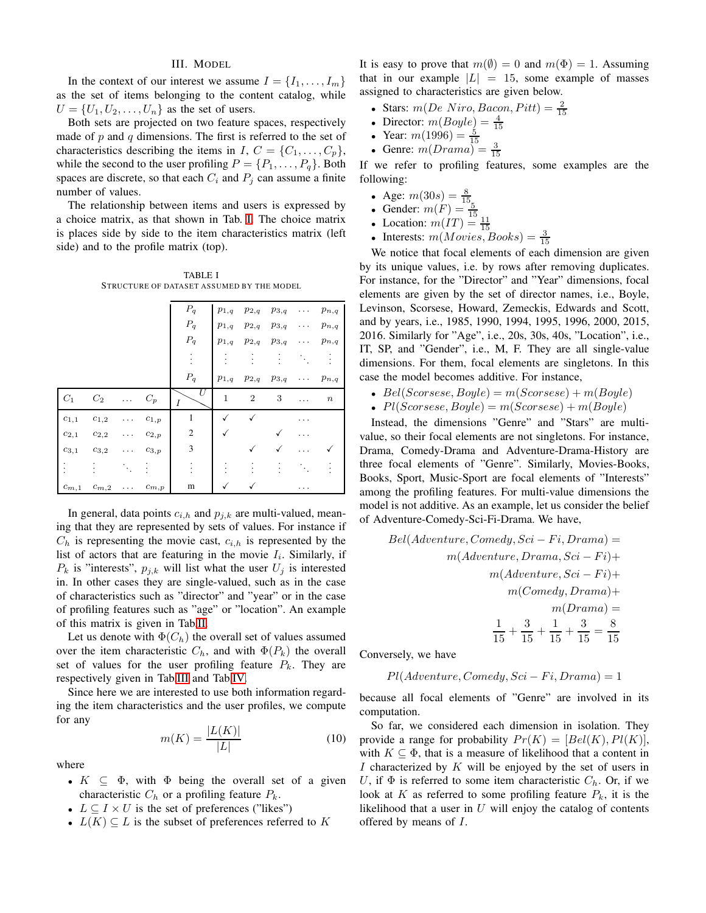# III. MODEL

In the context of our interest we assume  $I = \{I_1, \ldots, I_m\}$ as the set of items belonging to the content catalog, while  $U = \{U_1, U_2, \ldots, U_n\}$  as the set of users.

Both sets are projected on two feature spaces, respectively made of  $p$  and  $q$  dimensions. The first is referred to the set of characteristics describing the items in  $I, C = \{C_1, \ldots, C_p\},\$ while the second to the user profiling  $P = \{P_1, \ldots, P_q\}$ . Both spaces are discrete, so that each  $C_i$  and  $P_j$  can assume a finite number of values.

The relationship between items and users is expressed by a choice matrix, as that shown in Tab. [I.](#page-3-0) The choice matrix is places side by side to the item characteristics matrix (left side) and to the profile matrix (top).

TABLE I STRUCTURE OF DATASET ASSUMED BY THE MODEL

<span id="page-3-0"></span>

|           |           |          |           | $P_q$          |              | $p_{1,q}$ $p_{2,q}$ $p_{3,q}$ |           |                             | $\cdots$ $p_{n,q}$ |
|-----------|-----------|----------|-----------|----------------|--------------|-------------------------------|-----------|-----------------------------|--------------------|
|           |           |          |           | ${\cal P}_q$   |              | $p_{1,q}$ $p_{2,q}$           | $p_{3,q}$ | $\sim$ $\sim$ $\sim$ $\sim$ | $p_{n,q}$          |
|           |           |          |           | ${\cal P}_q$   |              | $p_{1,q}$ $p_{2,q}$           | $p_{3,q}$ |                             | $\cdots$ $p_{n,q}$ |
|           |           |          |           | $\ddot{\cdot}$ |              |                               |           |                             |                    |
|           |           |          |           | ${\cal P}_q$   |              | $p_{1,q}$ $p_{2,q}$ $p_{3,q}$ |           |                             | $\cdots$ $p_{n,q}$ |
| $C_1$     | $C_2$     | $\cdots$ | $C_p$     |                | $\mathbf{1}$ | $\overline{2}$                | 3         | $\cdots$                    | $\, n$             |
| $c_{1,1}$ | $c_{1,2}$ | $\cdots$ | $c_{1,p}$ | 1              |              |                               |           |                             |                    |
| $c_{2,1}$ | $c_{2,2}$ | $\cdots$ | $c_{2,p}$ | $\overline{2}$ |              |                               |           |                             |                    |
| $c_{3,1}$ | $c_{3,2}$ | $\cdots$ | $c_{3,p}$ | $\mathfrak{Z}$ |              | ✓                             | ✓         | .                           |                    |
|           |           |          |           |                |              |                               |           |                             |                    |
| $c_{m,1}$ | $c_{m,2}$ | $\cdots$ | $c_{m,p}$ | m              |              |                               |           |                             |                    |

In general, data points  $c_{i,h}$  and  $p_{j,k}$  are multi-valued, meaning that they are represented by sets of values. For instance if  $C_h$  is representing the movie cast,  $c_{i,h}$  is represented by the list of actors that are featuring in the movie  $I_i$ . Similarly, if  $P_k$  is "interests",  $p_{j,k}$  will list what the user  $U_j$  is interested in. In other cases they are single-valued, such as in the case of characteristics such as "director" and "year" or in the case of profiling features such as "age" or "location". An example of this matrix is given in Tab[.II.](#page-4-0)

Let us denote with  $\Phi(C_h)$  the overall set of values assumed over the item characteristic  $C_h$ , and with  $\Phi(P_k)$  the overall set of values for the user profiling feature  $P_k$ . They are respectively given in Tab[.III](#page-4-1) and Tab[.IV.](#page-4-2)

Since here we are interested to use both information regarding the item characteristics and the user profiles, we compute for any

$$
m(K) = \frac{|L(K)|}{|L|} \tag{10}
$$

where

- $K \subseteq \Phi$ , with  $\Phi$  being the overall set of a given characteristic  $C_h$  or a profiling feature  $P_k$ .
- $L \subseteq I \times U$  is the set of preferences ("likes")
- $L(K) \subseteq L$  is the subset of preferences referred to K

It is easy to prove that  $m(\emptyset) = 0$  and  $m(\Phi) = 1$ . Assuming that in our example  $|L| = 15$ , some example of masses assigned to characteristics are given below.

- Stars:  $m(De Niro, Bacon, Pitt) = \frac{2}{15}$
- Director:  $m(Boyle) = \frac{4}{15}$
- Year:  $m(1996) = \frac{5}{15}$
- Genre:  $m(Drama) = \frac{3}{15}$

If we refer to profiling features, some examples are the following:

- 
- Age:  $m(30s) = \frac{8}{15}$ <br>• Gender:  $m(F) = \frac{1}{15}$ <br>• Location:  $m(T) = \frac{11}{15}$
- 
- Interests:  $m(Movies, Books) = \frac{3}{15}$

We notice that focal elements of each dimension are given by its unique values, i.e. by rows after removing duplicates. For instance, for the "Director" and "Year" dimensions, focal elements are given by the set of director names, i.e., Boyle, Levinson, Scorsese, Howard, Zemeckis, Edwards and Scott, and by years, i.e., 1985, 1990, 1994, 1995, 1996, 2000, 2015, 2016. Similarly for "Age", i.e., 20s, 30s, 40s, "Location", i.e., IT, SP, and "Gender", i.e., M, F. They are all single-value dimensions. For them, focal elements are singletons. In this case the model becomes additive. For instance,

- Bel(Scorsese, Boyle) =  $m(Scores) + m(Boyle)$
- $Pl(Scoreses, Boyle) = m(Scoreses) + m(Boyle)$

Instead, the dimensions "Genre" and "Stars" are multivalue, so their focal elements are not singletons. For instance, Drama, Comedy-Drama and Adventure-Drama-History are three focal elements of "Genre". Similarly, Movies-Books, Books, Sport, Music-Sport are focal elements of "Interests" among the profiling features. For multi-value dimensions the model is not additive. As an example, let us consider the belief of Adventure-Comedy-Sci-Fi-Drama. We have,

$$
Bel(Adventure, Comedy, Sci - Fi, Drama) =
$$
  
\n
$$
m(Adventure, Drama, Sci - Fi) +
$$
  
\n
$$
m(Adventure, Sci - Fi) +
$$
  
\n
$$
m(Comedy, Drama) +
$$
  
\n
$$
m(Drama) =
$$
  
\n
$$
\frac{1}{15} + \frac{3}{15} + \frac{1}{15} + \frac{3}{15} = \frac{8}{15}
$$

Conversely, we have

$$
Pl(Adventure,Comedy, Sci-Fi, Drama) = 1
$$

because all focal elements of "Genre" are involved in its computation.

So far, we considered each dimension in isolation. They provide a range for probability  $Pr(K) = [Bel(K), Pl(K)],$ with  $K \subseteq \Phi$ , that is a measure of likelihood that a content in I characterized by  $K$  will be enjoyed by the set of users in U, if  $\Phi$  is referred to some item characteristic  $C_h$ . Or, if we look at K as referred to some profiling feature  $P_k$ , it is the likelihood that a user in  $U$  will enjoy the catalog of contents offered by means of I.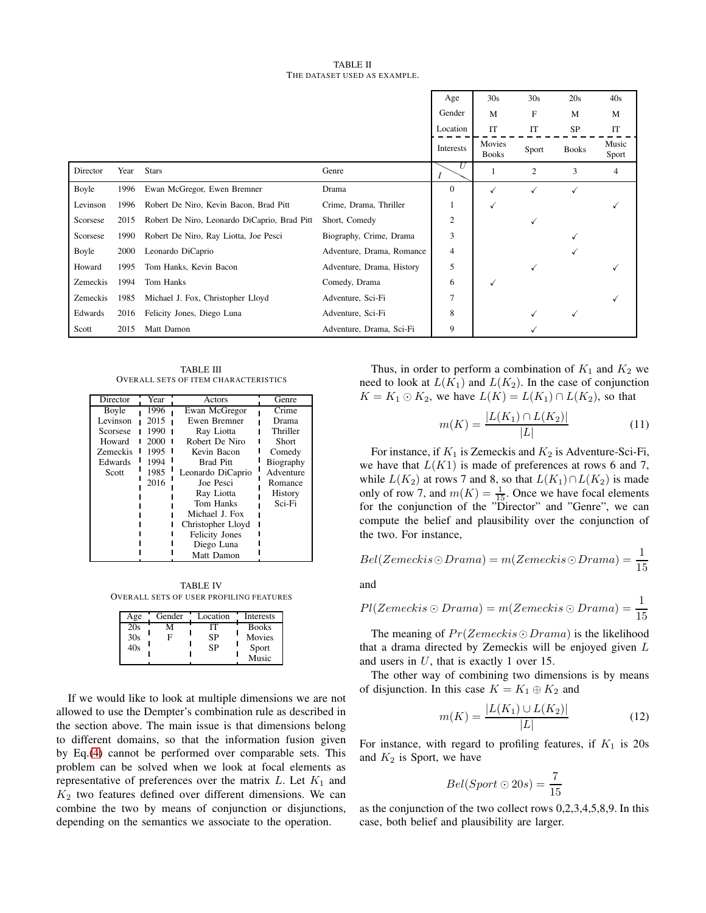#### TABLE II THE DATASET USED AS EXAMPLE.

<span id="page-4-0"></span>

|          |      |                                              |                           | Age            | 30s                    | 30s          | 20s          | 40s            |
|----------|------|----------------------------------------------|---------------------------|----------------|------------------------|--------------|--------------|----------------|
|          |      |                                              |                           | Gender         | M                      | $\mathbf{F}$ | M            | M              |
|          |      |                                              |                           | Location       | IT                     | IT           | <b>SP</b>    | IT             |
|          |      |                                              |                           | Interests      | Movies<br><b>Books</b> | Sport        | <b>Books</b> | Music<br>Sport |
| Director | Year | <b>Stars</b>                                 | Genre                     | U              |                        | 2            | 3            | 4              |
| Boyle    | 1996 | Ewan McGregor, Ewen Bremner                  | Drama                     | $\mathbf{0}$   |                        |              | ✓            |                |
| Levinson | 1996 | Robert De Niro, Kevin Bacon, Brad Pitt       | Crime, Drama, Thriller    |                |                        |              |              |                |
| Scorsese | 2015 | Robert De Niro, Leonardo DiCaprio, Brad Pitt | Short, Comedy             | $\overline{2}$ |                        |              |              |                |
| Scorsese | 1990 | Robert De Niro, Ray Liotta, Joe Pesci        | Biography, Crime, Drama   | 3              |                        |              | $\checkmark$ |                |
| Boyle    | 2000 | Leonardo DiCaprio                            | Adventure, Drama, Romance | $\overline{4}$ |                        |              |              |                |
| Howard   | 1995 | Tom Hanks, Kevin Bacon                       | Adventure, Drama, History | 5              |                        |              |              |                |
| Zemeckis | 1994 | Tom Hanks                                    | Comedy, Drama             | 6              |                        |              |              |                |
| Zemeckis | 1985 | Michael J. Fox, Christopher Lloyd            | Adventure, Sci-Fi         | 7              |                        |              |              |                |
| Edwards  | 2016 | Felicity Jones, Diego Luna                   | Adventure, Sci-Fi         | 8              |                        |              | $\checkmark$ |                |
| Scott    | 2015 | Matt Damon                                   | Adventure, Drama, Sci-Fi  | 9              |                        |              |              |                |

TABLE III OVERALL SETS OF ITEM CHARACTERISTICS

<span id="page-4-1"></span>

| Director<br>Year |      | Actors                | Genre            |  |
|------------------|------|-----------------------|------------------|--|
| Boyle            | 1996 | Ewan McGregor         | Crime            |  |
| Levinson         | 2015 | Ewen Bremner          | Drama            |  |
| Scorsese         | 1990 | Ray Liotta            | Thriller         |  |
| Howard           | 2000 | Robert De Niro        | Short            |  |
| <b>Zemeckis</b>  | 1995 | Kevin Bacon           | Comedy           |  |
| Edwards          | 1994 | <b>Brad Pitt</b>      | <b>Biography</b> |  |
| Scott            | 1985 | Leonardo DiCaprio     | Adventure        |  |
|                  | 2016 | Joe Pesci             | Romance          |  |
|                  |      | Ray Liotta            | History          |  |
|                  |      | Tom Hanks             | Sci-Fi           |  |
|                  |      | Michael J. Fox        |                  |  |
|                  |      | Christopher Lloyd     |                  |  |
|                  |      | <b>Felicity Jones</b> |                  |  |
|                  |      | Diego Luna            |                  |  |
|                  |      | Matt Damon            |                  |  |

<span id="page-4-2"></span>TABLE IV OVERALL SETS OF USER PROFILING FEATURES

| Age | Gender | Location | Interests    |
|-----|--------|----------|--------------|
| 20s |        |          | <b>Books</b> |
| 30s |        | SP       | Movies       |
| 40s |        | ςр       | Sport        |
|     |        |          | Music        |

If we would like to look at multiple dimensions we are not allowed to use the Dempter's combination rule as described in the section above. The main issue is that dimensions belong to different domains, so that the information fusion given by Eq.[\(4\)](#page-1-2) cannot be performed over comparable sets. This problem can be solved when we look at focal elements as representative of preferences over the matrix  $L$ . Let  $K_1$  and  $K<sub>2</sub>$  two features defined over different dimensions. We can combine the two by means of conjunction or disjunctions, depending on the semantics we associate to the operation.

Thus, in order to perform a combination of  $K_1$  and  $K_2$  we need to look at  $L(K_1)$  and  $L(K_2)$ . In the case of conjunction  $K = K_1 \odot K_2$ , we have  $L(K) = L(K_1) \cap L(K_2)$ , so that

$$
m(K) = \frac{|L(K_1) \cap L(K_2)|}{|L|} \tag{11}
$$

For instance, if  $K_1$  is Zemeckis and  $K_2$  is Adventure-Sci-Fi, we have that  $L(K1)$  is made of preferences at rows 6 and 7, while  $L(K_2)$  at rows 7 and 8, so that  $L(K_1) \cap L(K_2)$  is made only of row 7, and  $m(K) = \frac{1}{15}$ . Once we have focal elements for the conjunction of the "Director" and "Genre", we can compute the belief and plausibility over the conjunction of the two. For instance,

$$
Bel(Zemeckis \odot Drama) = m(Zemeckis \odot Drama) = \frac{1}{15}
$$

and

$$
Pl(Zemeckis \odot Drama) = m(Zemeckis \odot Drama) = \frac{1}{15}
$$

The meaning of  $Pr(Zemeckis \odot Drama)$  is the likelihood that a drama directed by Zemeckis will be enjoyed given L and users in  $U$ , that is exactly 1 over 15.

The other way of combining two dimensions is by means of disjunction. In this case  $K = K_1 \oplus K_2$  and

$$
m(K) = \frac{|L(K_1) \cup L(K_2)|}{|L|} \tag{12}
$$

For instance, with regard to profiling features, if  $K_1$  is 20s and  $K_2$  is Sport, we have

$$
Bel(Sport \odot 20s) = \frac{7}{15}
$$

as the conjunction of the two collect rows 0,2,3,4,5,8,9. In this case, both belief and plausibility are larger.